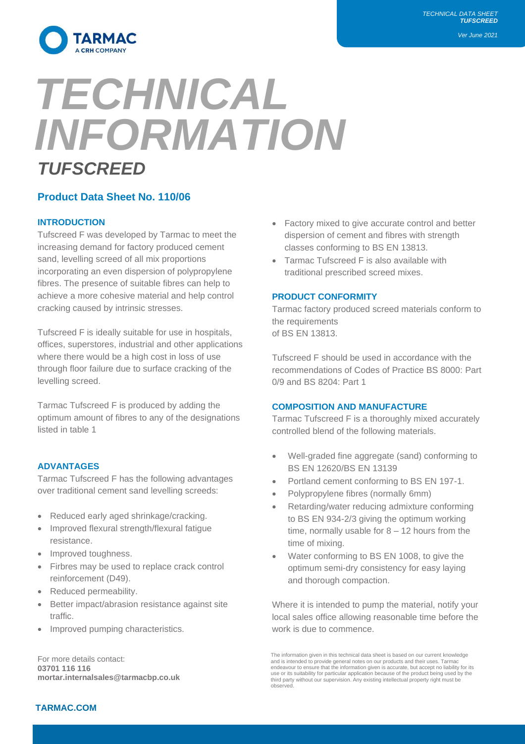*Ver June 2021*



# *TECHNICAL INFORMATION TUFSCREED*

# **Product Data Sheet No. 110/06**

# **INTRODUCTION**

Tufscreed F was developed by Tarmac to meet the increasing demand for factory produced cement sand, levelling screed of all mix proportions incorporating an even dispersion of polypropylene fibres. The presence of suitable fibres can help to achieve a more cohesive material and help control cracking caused by intrinsic stresses.

Tufscreed F is ideally suitable for use in hospitals, offices, superstores, industrial and other applications where there would be a high cost in loss of use through floor failure due to surface cracking of the levelling screed.

Tarmac Tufscreed F is produced by adding the optimum amount of fibres to any of the designations listed in table 1

# **ADVANTAGES**

Tarmac Tufscreed F has the following advantages over traditional cement sand levelling screeds:

- Reduced early aged shrinkage/cracking.
- Improved flexural strength/flexural fatigue resistance.
- Improved toughness.
- Firbres may be used to replace crack control reinforcement (D49).
- Reduced permeability.
- Better impact/abrasion resistance against site traffic.
- Improved pumping characteristics.

For more details contact: **03701 116 116 mortar.internalsales@tarmacbp.co.uk**

- Factory mixed to give accurate control and better dispersion of cement and fibres with strength classes conforming to BS EN 13813.
- Tarmac Tufscreed F is also available with traditional prescribed screed mixes.

## **PRODUCT CONFORMITY**

Tarmac factory produced screed materials conform to the requirements of BS EN 13813.

Tufscreed F should be used in accordance with the recommendations of Codes of Practice BS 8000: Part 0/9 and BS 8204: Part 1

## **COMPOSITION AND MANUFACTURE**

Tarmac Tufscreed F is a thoroughly mixed accurately controlled blend of the following materials.

- Well-graded fine aggregate (sand) conforming to BS EN 12620/BS EN 13139
- Portland cement conforming to BS EN 197-1.
- Polypropylene fibres (normally 6mm)
- Retarding/water reducing admixture conforming to BS EN 934-2/3 giving the optimum working time, normally usable for  $8 - 12$  hours from the time of mixing.
- Water conforming to BS EN 1008, to give the optimum semi-dry consistency for easy laying and thorough compaction.

Where it is intended to pump the material, notify your local sales office allowing reasonable time before the work is due to commence.

## **TARMAC.COM**

The information given in this technical data sheet is based on our current knowledge and is intended to provide general notes on our products and their uses. Tarmac endeavour to ensure that the information given is accurate, but accept no liability for its use or its suitability for particular application because of the product being used by the third party without our supervision. Any existing intellectual property right must be observed.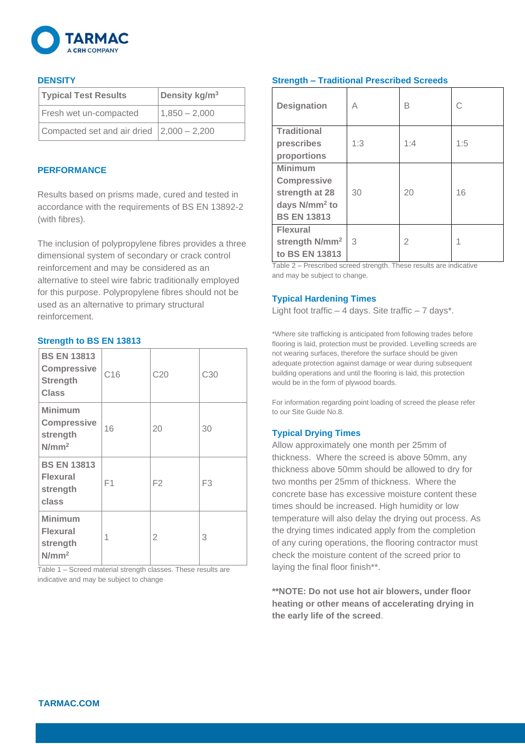

## **DENSITY**

| <b>Typical Test Results</b>                             | Density kg/ $m3$ |
|---------------------------------------------------------|------------------|
| Fresh wet un-compacted                                  | $1,850 - 2,000$  |
| Compacted set and air dried $\vert 2,000 - 2,200 \vert$ |                  |

#### **PERFORMANCE**

Results based on prisms made, cured and tested in accordance with the requirements of BS EN 13892-2 (with fibres).

The inclusion of polypropylene fibres provides a three dimensional system of secondary or crack control reinforcement and may be considered as an alternative to steel wire fabric traditionally employed for this purpose. Polypropylene fibres should not be used as an alternative to primary structural reinforcement.

#### **Strength to BS EN 13813**

| <b>BS EN 13813</b><br><b>Compressive</b><br><b>Strength</b><br><b>Class</b> | C16 | C20            | C <sub>30</sub> |
|-----------------------------------------------------------------------------|-----|----------------|-----------------|
| Minimum<br><b>Compressive</b><br>strength<br>N/mm <sup>2</sup>              | 16  | 20             | 30              |
| <b>BS EN 13813</b><br><b>Flexural</b><br>strength<br>class                  | F1  | F <sub>2</sub> | F <sub>3</sub>  |
| <b>Minimum</b><br><b>Flexural</b><br>strength<br>$N/mm^2$                   | 1   | $\overline{2}$ | 3               |

Table 1 – Screed material strength classes. These results are indicative and may be subject to change

## **Strength – Traditional Prescribed Screeds**

| <b>Designation</b>         | А   | R              | C   |
|----------------------------|-----|----------------|-----|
| <b>Traditional</b>         |     |                |     |
| prescribes                 | 1:3 | 1:4            | 1:5 |
| proportions                |     |                |     |
| <b>Minimum</b>             |     |                |     |
| <b>Compressive</b>         |     |                |     |
| strength at 28             | 30  | 20             | 16  |
| days $N/mm^2$ to           |     |                |     |
| <b>BS EN 13813</b>         |     |                |     |
| <b>Flexural</b>            |     |                |     |
| strength N/mm <sup>2</sup> | 3   | $\mathfrak{D}$ |     |
| to BS EN 13813             |     |                |     |

Table 2 – Prescribed screed strength. These results are indicative and may be subject to change.

## **Typical Hardening Times**

Light foot traffic  $-4$  days. Site traffic  $-7$  days\*.

\*Where site trafficking is anticipated from following trades before flooring is laid, protection must be provided. Levelling screeds are not wearing surfaces, therefore the surface should be given adequate protection against damage or wear during subsequent building operations and until the flooring is laid, this protection would be in the form of plywood boards.

For information regarding point loading of screed the please refer to our Site Guide No.8.

# **Typical Drying Times**

Allow approximately one month per 25mm of thickness. Where the screed is above 50mm, any thickness above 50mm should be allowed to dry for two months per 25mm of thickness. Where the concrete base has excessive moisture content these times should be increased. High humidity or low temperature will also delay the drying out process. As the drying times indicated apply from the completion of any curing operations, the flooring contractor must check the moisture content of the screed prior to laying the final floor finish\*\*.

**\*\*NOTE: Do not use hot air blowers, under floor heating or other means of accelerating drying in the early life of the screed**.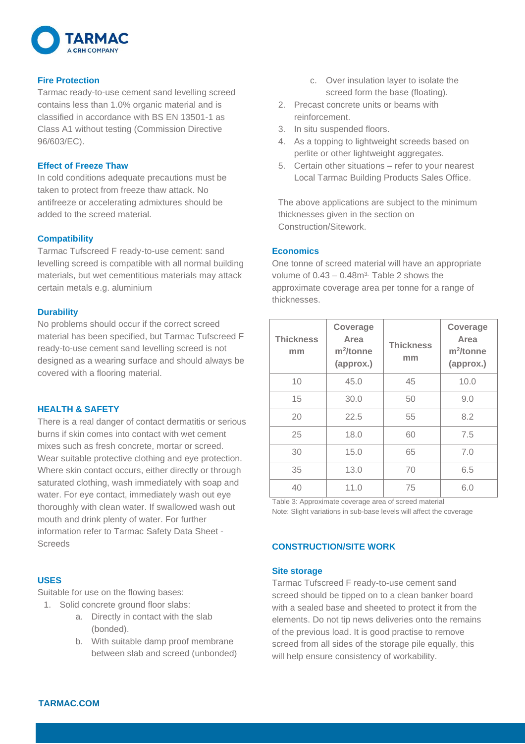

## **Fire Protection**

Tarmac ready-to-use cement sand levelling screed contains less than 1.0% organic material and is classified in accordance with BS EN 13501-1 as Class A1 without testing (Commission Directive 96/603/EC).

## **Effect of Freeze Thaw**

In cold conditions adequate precautions must be taken to protect from freeze thaw attack. No antifreeze or accelerating admixtures should be added to the screed material.

# **Compatibility**

Tarmac Tufscreed F ready-to-use cement: sand levelling screed is compatible with all normal building materials, but wet cementitious materials may attack certain metals e.g. aluminium

# **Durability**

No problems should occur if the correct screed material has been specified, but Tarmac Tufscreed F ready-to-use cement sand levelling screed is not designed as a wearing surface and should always be covered with a flooring material.

# **HEALTH & SAFETY**

There is a real danger of contact dermatitis or serious burns if skin comes into contact with wet cement mixes such as fresh concrete, mortar or screed. Wear suitable protective clothing and eye protection. Where skin contact occurs, either directly or through saturated clothing, wash immediately with soap and water. For eye contact, immediately wash out eye thoroughly with clean water. If swallowed wash out mouth and drink plenty of water. For further information refer to Tarmac Safety Data Sheet - **Screeds** 

# **USES**

Suitable for use on the flowing bases:

1. Solid concrete ground floor slabs:

- a. Directly in contact with the slab (bonded).
- b. With suitable damp proof membrane between slab and screed (unbonded)
- c. Over insulation layer to isolate the screed form the base (floating).
- 2. Precast concrete units or beams with reinforcement.
- 3. In situ suspended floors.
- 4. As a topping to lightweight screeds based on perlite or other lightweight aggregates.
- 5. Certain other situations refer to your nearest Local Tarmac Building Products Sales Office.

The above applications are subject to the minimum thicknesses given in the section on Construction/Sitework.

# **Economics**

One tonne of screed material will have an appropriate volume of  $0.43 - 0.48$ m<sup>3.</sup> Table 2 shows the approximate coverage area per tonne for a range of thicknesses.

| <b>Thickness</b><br>mm | Coverage<br>Area<br>$m^2$ /tonne<br>(approx.) | <b>Thickness</b><br>mm | Coverage<br>Area<br>m <sup>2</sup> /tonne<br>(approx.) |
|------------------------|-----------------------------------------------|------------------------|--------------------------------------------------------|
| 10                     | 45.0                                          | 45                     | 10.0                                                   |
| 15                     | 30.0                                          | 50                     | 9.0                                                    |
| 20                     | 22.5                                          | 55                     | 8.2                                                    |
| 25                     | 18.0                                          | 60                     | 7.5                                                    |
| 30                     | 15.0                                          | 65                     | 7.0                                                    |
| 35                     | 13.0                                          | 70                     | 6.5                                                    |
| 40                     | 11.0                                          | 75                     | 6.0                                                    |

Table 3: Approximate coverage area of screed material Note: Slight variations in sub-base levels will affect the coverage

# **CONSTRUCTION/SITE WORK**

## **Site storage**

Tarmac Tufscreed F ready-to-use cement sand screed should be tipped on to a clean banker board with a sealed base and sheeted to protect it from the elements. Do not tip news deliveries onto the remains of the previous load. It is good practise to remove screed from all sides of the storage pile equally, this will help ensure consistency of workability.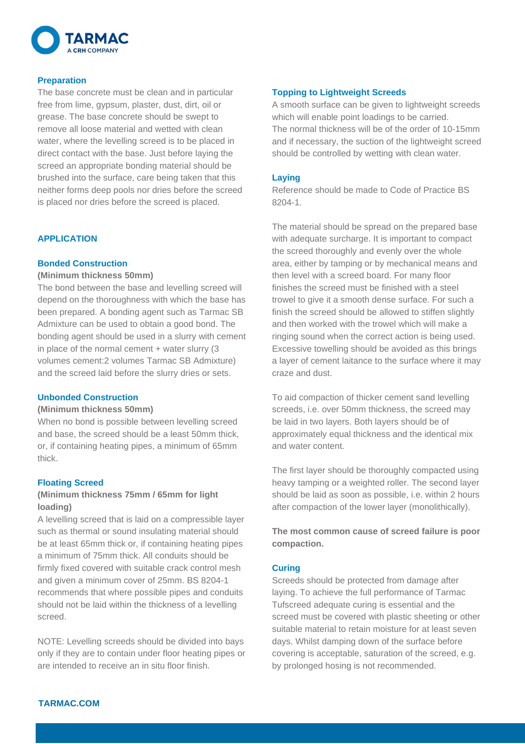

#### **Preparation**

The base concrete must be clean and in particular free from lime, gypsum, plaster, dust, dirt, oil or grease. The base concrete should be swept to remove all loose material and wetted with clean water, where the levelling screed is to be placed in direct contact with the base. Just before laying the screed an appropriate bonding material should be brushed into the surface, care being taken that this neither forms deep pools nor dries before the screed is placed nor dries before the screed is placed.

# **APPLICATION**

#### **Bonded Construction**

#### **(Minimum thickness 50mm)**

The bond between the base and levelling screed will depend on the thoroughness with which the base has been prepared. A bonding agent such as Tarmac SB Admixture can be used to obtain a good bond. The bonding agent should be used in a slurry with cement in place of the normal cement + water slurry (3 volumes cement:2 volumes Tarmac SB Admixture) and the screed laid before the slurry dries or sets.

#### **Unbonded Construction**

#### **(Minimum thickness 50mm)**

When no bond is possible between levelling screed and base, the screed should be a least 50mm thick, or, if containing heating pipes, a minimum of 65mm thick.

#### **Floating Screed**

# **(Minimum thickness 75mm / 65mm for light loading)**

A levelling screed that is laid on a compressible layer such as thermal or sound insulating material should be at least 65mm thick or, if containing heating pipes a minimum of 75mm thick. All conduits should be firmly fixed covered with suitable crack control mesh and given a minimum cover of 25mm. BS 8204-1 recommends that where possible pipes and conduits should not be laid within the thickness of a levelling screed.

NOTE: Levelling screeds should be divided into bays only if they are to contain under floor heating pipes or are intended to receive an in situ floor finish.

#### **Topping to Lightweight Screeds**

A smooth surface can be given to lightweight screeds which will enable point loadings to be carried. The normal thickness will be of the order of 10-15mm and if necessary, the suction of the lightweight screed should be controlled by wetting with clean water.

#### **Laying**

Reference should be made to Code of Practice BS 8204-1.

The material should be spread on the prepared base with adequate surcharge. It is important to compact the screed thoroughly and evenly over the whole area, either by tamping or by mechanical means and then level with a screed board. For many floor finishes the screed must be finished with a steel trowel to give it a smooth dense surface. For such a finish the screed should be allowed to stiffen slightly and then worked with the trowel which will make a ringing sound when the correct action is being used. Excessive towelling should be avoided as this brings a layer of cement laitance to the surface where it may craze and dust.

To aid compaction of thicker cement sand levelling screeds, i.e. over 50mm thickness, the screed may be laid in two layers. Both layers should be of approximately equal thickness and the identical mix and water content.

The first layer should be thoroughly compacted using heavy tamping or a weighted roller. The second layer should be laid as soon as possible, i.e. within 2 hours after compaction of the lower layer (monolithically).

**The most common cause of screed failure is poor compaction.**

#### **Curing**

Screeds should be protected from damage after laying. To achieve the full performance of Tarmac Tufscreed adequate curing is essential and the screed must be covered with plastic sheeting or other suitable material to retain moisture for at least seven days. Whilst damping down of the surface before covering is acceptable, saturation of the screed, e.g. by prolonged hosing is not recommended.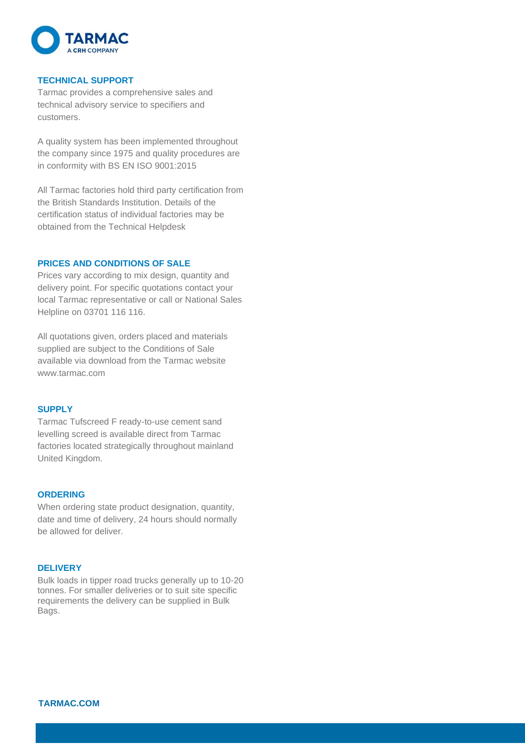

#### **TECHNICAL SUPPORT**

Tarmac provides a comprehensive sales and technical advisory service to specifiers and customers.

A quality system has been implemented throughout the company since 1975 and quality procedures are in conformity with BS EN ISO 9001:2015

All Tarmac factories hold third party certification from the British Standards Institution. Details of the certification status of individual factories may be obtained from the Technical Helpdesk

#### **PRICES AND CONDITIONS OF SALE**

Prices vary according to mix design, quantity and delivery point. For specific quotations contact your local Tarmac representative or call or National Sales Helpline on 03701 116 116.

All quotations given, orders placed and materials supplied are subject to the Conditions of Sale available via download from the Tarmac website www.tarmac.com

#### **SUPPLY**

Tarmac Tufscreed F ready-to-use cement sand levelling screed is available direct from Tarmac factories located strategically throughout mainland United Kingdom.

#### **ORDERING**

When ordering state product designation, quantity, date and time of delivery, 24 hours should normally be allowed for deliver.

#### **DELIVERY**

Bulk loads in tipper road trucks generally up to 10-20 tonnes. For smaller deliveries or to suit site specific requirements the delivery can be supplied in Bulk Bags.